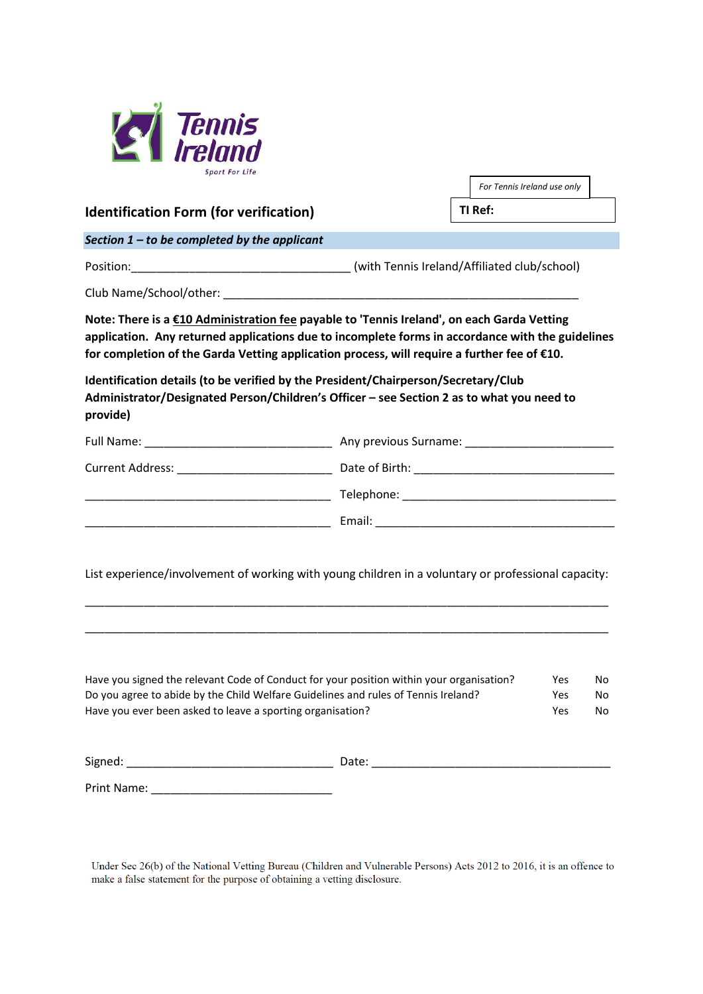

| <b>Sport For Life</b>                                      |                                                                                                                                                                                           |                                                                                                     |
|------------------------------------------------------------|-------------------------------------------------------------------------------------------------------------------------------------------------------------------------------------------|-----------------------------------------------------------------------------------------------------|
|                                                            |                                                                                                                                                                                           | For Tennis Ireland use only<br>TI Ref:                                                              |
| <b>Identification Form (for verification)</b>              |                                                                                                                                                                                           |                                                                                                     |
| Section $1$ – to be completed by the applicant             |                                                                                                                                                                                           |                                                                                                     |
|                                                            |                                                                                                                                                                                           |                                                                                                     |
|                                                            |                                                                                                                                                                                           |                                                                                                     |
|                                                            | Note: There is a £10 Administration fee payable to 'Tennis Ireland', on each Garda Vetting<br>for completion of the Garda Vetting application process, will require a further fee of €10. | application. Any returned applications due to incomplete forms in accordance with the guidelines    |
| provide)                                                   | Identification details (to be verified by the President/Chairperson/Secretary/Club<br>Administrator/Designated Person/Children's Officer - see Section 2 as to what you need to           |                                                                                                     |
|                                                            |                                                                                                                                                                                           |                                                                                                     |
|                                                            |                                                                                                                                                                                           |                                                                                                     |
|                                                            |                                                                                                                                                                                           |                                                                                                     |
|                                                            |                                                                                                                                                                                           |                                                                                                     |
|                                                            |                                                                                                                                                                                           | List experience/involvement of working with young children in a voluntary or professional capacity: |
| Have you ever been asked to leave a sporting organisation? | Have you signed the relevant Code of Conduct for your position within your organisation?<br>Do you agree to abide by the Child Welfare Guidelines and rules of Tennis Ireland?            | Yes<br>No<br>Yes<br>No.<br>Yes<br>No                                                                |
|                                                            |                                                                                                                                                                                           |                                                                                                     |
|                                                            |                                                                                                                                                                                           |                                                                                                     |

Under Sec 26(b) of the National Vetting Bureau (Children and Vulnerable Persons) Acts 2012 to 2016, it is an offence to make a false statement for the purpose of obtaining a vetting disclosure.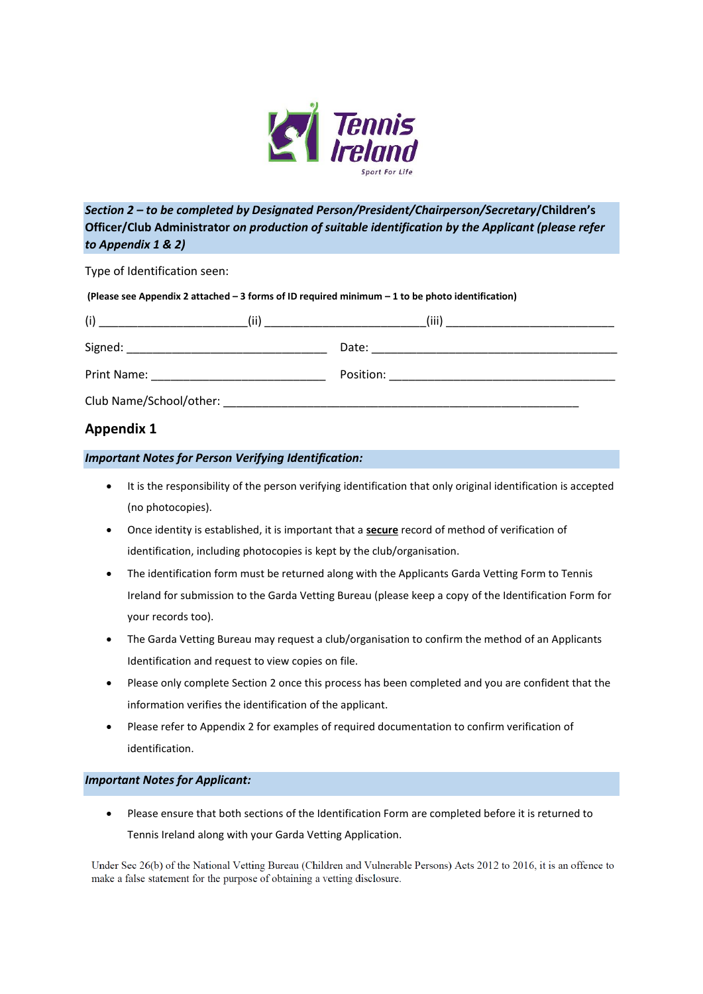

## *Section 2 – to be completed by Designated Person/President/Chairperson/Secretary***/Children's Officer/Club Administrator** *on production of suitable identification by the Applicant (please refer to Appendix 1 & 2)*

Type of Identification seen:

| (Please see Appendix 2 attached - 3 forms of ID required minimum - 1 to be photo identification) |  |
|--------------------------------------------------------------------------------------------------|--|
|                                                                                                  |  |
|                                                                                                  |  |

| (i)<br>(ii)                                                                                                                                                                                                                        | (iii)                                                                                                                        |
|------------------------------------------------------------------------------------------------------------------------------------------------------------------------------------------------------------------------------------|------------------------------------------------------------------------------------------------------------------------------|
|                                                                                                                                                                                                                                    | Date:<br><u> 1980 - Jan Barbara, martin da basar da basar da basar da basar da basar da basar da basar da basar da basar</u> |
| <b>Print Name:</b> The contract of the contract of the contract of the contract of the contract of the contract of the contract of the contract of the contract of the contract of the contract of the contract of the contract of |                                                                                                                              |
| Club Name/School/other:                                                                                                                                                                                                            |                                                                                                                              |

### **Appendix 1**

#### *Important Notes for Person Verifying Identification:*

- It is the responsibility of the person verifying identification that only original identification is accepted (no photocopies).
- Once identity is established, it is important that a **secure** record of method of verification of identification, including photocopies is kept by the club/organisation.
- The identification form must be returned along with the Applicants Garda Vetting Form to Tennis Ireland for submission to the Garda Vetting Bureau (please keep a copy of the Identification Form for your records too).
- The Garda Vetting Bureau may request a club/organisation to confirm the method of an Applicants Identification and request to view copies on file.
- Please only complete Section 2 once this process has been completed and you are confident that the information verifies the identification of the applicant.
- Please refer to Appendix 2 for examples of required documentation to confirm verification of identification.

#### *Important Notes for Applicant:*

• Please ensure that both sections of the Identification Form are completed before it is returned to Tennis Ireland along with your Garda Vetting Application.

Under Sec 26(b) of the National Vetting Bureau (Children and Vulnerable Persons) Acts 2012 to 2016, it is an offence to make a false statement for the purpose of obtaining a vetting disclosure.